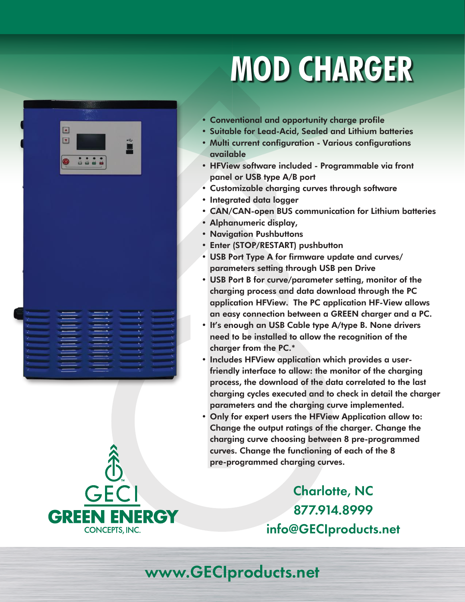# **MOD CHARGER**



- Conventional and opportunity charge profile
- Suitable for Lead-Acid, Sealed and Lithium batteries
- Multi current configuration Various configurations available
- HFView software included Programmable via front panel or USB type A/B port
- Customizable charging curves through software
- Integrated data logger
- CAN/CAN-open BUS communication for Lithium batteries
- Alphanumeric display,
- Navigation Pushbuttons
- Enter (STOP/RESTART) pushbutton
- USB Port Type A for firmware update and curves/ parameters setting through USB pen Drive
- USB Port B for curve/parameter setting, monitor of the charging process and data download through the PC application HFView. The PC application HF-View allows an easy connection between a GREEN charger and a PC.
- It's enough an USB Cable type A/type B. None drivers need to be installed to allow the recognition of the charger from the PC.\*
- Includes HFView application which provides a userfriendly interface to allow: the monitor of the charging process, the download of the data correlated to the last charging cycles executed and to check in detail the charger parameters and the charging curve implemented.
- Only for expert users the HFView Application allow to: Change the output ratings of the charger. Change the charging curve choosing between 8 pre-programmed curves. Change the functioning of each of the 8 pre-programmed charging curves.

Charlotte, NC 877.914.8999 info@GECIproducts.net



## www.GECIproducts.net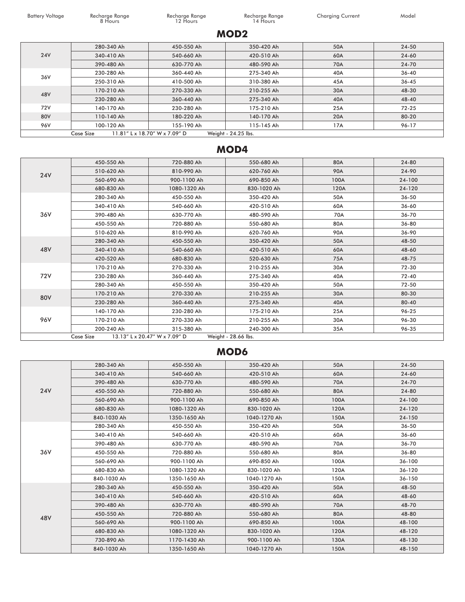Battery Voltage Recharge Range Recharge Range Recharge Range Recharge Range Recharge Range Charging Current Model<br>12 Hours 14 Hours 14 Hours 20 Hours 20 Hours 20 Hours 20 Hours 20 Hours 20 Hours 20 Hours 20 Hours 20 Hours Recharge Range<br>12 Hours

#### **MOD2**

| <b>24V</b> | 280-340 Ah                                                        | 450-550 Ah | 350-420 Ah | 50A | 24-50     |  |
|------------|-------------------------------------------------------------------|------------|------------|-----|-----------|--|
|            | 340-410 Ah                                                        | 540-660 Ah | 420-510 Ah | 60A | $24 - 60$ |  |
|            | 390-480 Ah                                                        | 630-770 Ah | 480-590 Ah | 70A | 24-70     |  |
| 36V        | 230-280 Ah                                                        | 360-440 Ah | 275-340 Ah | 40A | $36 - 40$ |  |
|            | 250-310 Ah                                                        | 410-500 Ah | 310-380 Ah | 45A | $36 - 45$ |  |
| 48V        | 170-210 Ah                                                        | 270-330 Ah | 210-255 Ah | 30A | 48-30     |  |
|            | 230-280 Ah                                                        | 360-440 Ah | 275-340 Ah | 40A | 48-40     |  |
| 72V        | 140-170 Ah                                                        | 230-280 Ah | 175-210 Ah | 25A | 72-25     |  |
| 80V        | 110-140 Ah                                                        | 180-220 Ah | 140-170 Ah | 20A | 80-20     |  |
| 96V        | 100-120 Ah                                                        | 155-190 Ah | 115-145 Ah | 17A | 96-17     |  |
|            | Weight - 24.25 lbs.<br>11.81" L x 18.70" W x 7.09" D<br>Case Size |            |            |     |           |  |

#### **MOD4**

| <b>24V</b>                                                        | 450-550 Ah | 720-880 Ah   | 550-680 Ah  | 80A        | 24-80     |  |
|-------------------------------------------------------------------|------------|--------------|-------------|------------|-----------|--|
|                                                                   | 510-620 Ah | 810-990 Ah   | 620-760 Ah  | <b>90A</b> | 24-90     |  |
|                                                                   | 560-690 Ah | 900-1100 Ah  | 690-850 Ah  | 100A       | 24-100    |  |
|                                                                   | 680-830 Ah | 1080-1320 Ah | 830-1020 Ah | 120A       | 24-120    |  |
|                                                                   | 280-340 Ah | 450-550 Ah   | 350-420 Ah  | 50A        | $36 - 50$ |  |
|                                                                   | 340-410 Ah | 540-660 Ah   | 420-510 Ah  | 60A        | $36 - 60$ |  |
| 36V                                                               | 390-480 Ah | 630-770 Ah   | 480-590 Ah  | 70A        | 36-70     |  |
|                                                                   | 450-550 Ah | 720-880 Ah   | 550-680 Ah  | 80A        | 36-80     |  |
|                                                                   | 510-620 Ah | 810-990 Ah   | 620-760 Ah  | 90A        | 36-90     |  |
|                                                                   | 280-340 Ah | 450-550 Ah   | 350-420 Ah  | 50A        | 48-50     |  |
| 48V                                                               | 340-410 Ah | 540-660 Ah   | 420-510 Ah  | 60A        | 48-60     |  |
|                                                                   | 420-520 Ah | 680-830 Ah   | 520-630 Ah  | 75A        | 48-75     |  |
|                                                                   | 170-210 Ah | 270-330 Ah   | 210-255 Ah  | 30A        | 72-30     |  |
| 72V                                                               | 230-280 Ah | 360-440 Ah   | 275-340 Ah  | 40A        | 72-40     |  |
|                                                                   | 280-340 Ah | 450-550 Ah   | 350-420 Ah  | 50A        | $72 - 50$ |  |
|                                                                   | 170-210 Ah | 270-330 Ah   | 210-255 Ah  | 30A        | 80-30     |  |
| <b>80V</b>                                                        | 230-280 Ah | 360-440 Ah   | 275-340 Ah  | 40A        | 80-40     |  |
| 96V                                                               | 140-170 Ah | 230-280 Ah   | 175-210 Ah  | 25A        | 96-25     |  |
|                                                                   | 170-210 Ah | 270-330 Ah   | 210-255 Ah  | 30A        | 96-30     |  |
|                                                                   | 200-240 Ah | 315-380 Ah   | 240-300 Ah  | 35A        | 96-35     |  |
| Weight - 28.66 lbs.<br>13.13" L x 20.47" W x 7.09" D<br>Case Size |            |              |             |            |           |  |

#### **MOD6**

| <b>24V</b> | 280-340 Ah  | 450-550 Ah   | 350-420 Ah   | 50A  | 24-50      |
|------------|-------------|--------------|--------------|------|------------|
|            | 340-410 Ah  | 540-660 Ah   | 420-510 Ah   | 60A  | 24-60      |
|            | 390-480 Ah  | 630-770 Ah   | 480-590 Ah   | 70A  | 24-70      |
|            | 450-550 Ah  | 720-880 Ah   | 550-680 Ah   | 80A  | 24-80      |
|            | 560-690 Ah  | 900-1100 Ah  | 690-850 Ah   | 100A | 24-100     |
|            | 680-830 Ah  | 1080-1320 Ah | 830-1020 Ah  | 120A | 24-120     |
|            | 840-1030 Ah | 1350-1650 Ah | 1040-1270 Ah | 150A | 24-150     |
|            | 280-340 Ah  | 450-550 Ah   | 350-420 Ah   | 50A  | $36 - 50$  |
|            | 340-410 Ah  | 540-660 Ah   | 420-510 Ah   | 60A  | $36 - 60$  |
|            | 390-480 Ah  | 630-770 Ah   | 480-590 Ah   | 70A  | 36-70      |
| 36V        | 450-550 Ah  | 720-880 Ah   | 550-680 Ah   | 80A  | 36-80      |
|            | 560-690 Ah  | 900-1100 Ah  | 690-850 Ah   | 100A | $36 - 100$ |
|            | 680-830 Ah  | 1080-1320 Ah | 830-1020 Ah  | 120A | 36-120     |
|            | 840-1030 Ah | 1350-1650 Ah | 1040-1270 Ah | 150A | $36 - 150$ |
|            | 280-340 Ah  | 450-550 Ah   | 350-420 Ah   | 50A  | 48-50      |
|            | 340-410 Ah  | 540-660 Ah   | 420-510 Ah   | 60A  | 48-60      |
| 48V        | 390-480 Ah  | 630-770 Ah   | 480-590 Ah   | 70A  | 48-70      |
|            | 450-550 Ah  | 720-880 Ah   | 550-680 Ah   | 80A  | 48-80      |
|            | 560-690 Ah  | 900-1100 Ah  | 690-850 Ah   | 100A | 48-100     |
|            | 680-830 Ah  | 1080-1320 Ah | 830-1020 Ah  | 120A | 48-120     |
|            | 730-890 Ah  | 1170-1430 Ah | 900-1100 Ah  | 130A | 48-130     |
|            | 840-1030 Ah | 1350-1650 Ah | 1040-1270 Ah | 150A | 48-150     |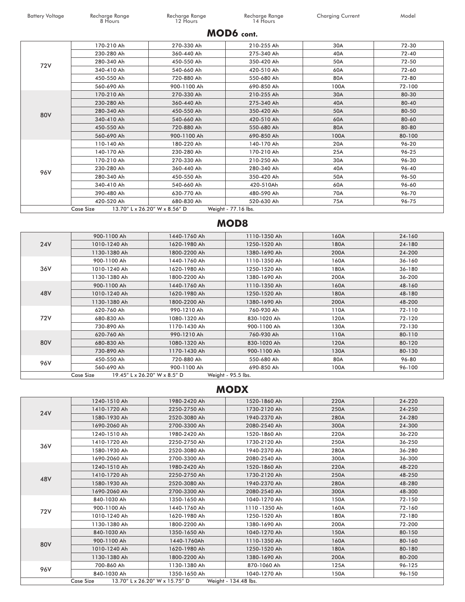Recharge Range<br>12 Hours

Battery Voltage Recharge Range Recharge Range Recharge Range Recharge Range Recharge Range Charging Current Model<br>12 Hours 14 Hours 14 Hours

#### **MOD6 cont.**

| 72V | 170-210 Ah       | 270-330 Ah                    | 210-255 Ah          | 30A        | 72-30  |
|-----|------------------|-------------------------------|---------------------|------------|--------|
|     | 230-280 Ah       | 360-440 Ah                    | 275-340 Ah          | 40A        | 72-40  |
|     | 280-340 Ah       | 450-550 Ah                    | 350-420 Ah          | 50A        | 72-50  |
|     | 340-410 Ah       | 540-660 Ah                    | 420-510 Ah          | 60A        | 72-60  |
|     | 450-550 Ah       | 720-880 Ah                    | 550-680 Ah          | 80A        | 72-80  |
|     | 560-690 Ah       | 900-1100 Ah                   | 690-850 Ah          | 100A       | 72-100 |
|     | 170-210 Ah       | 270-330 Ah                    | 210-255 Ah          | 30A        | 80-30  |
|     | 230-280 Ah       | 360-440 Ah                    | 275-340 Ah          | 40A        | 80-40  |
| 80V | 280-340 Ah       | 450-550 Ah                    | 350-420 Ah          | 50A        | 80-50  |
|     | 340-410 Ah       | 540-660 Ah                    | 420-510 Ah          | 60A        | 80-60  |
|     | 450-550 Ah       | 720-880 Ah                    | 550-680 Ah          | 80A        | 80-80  |
|     | 560-690 Ah       | 900-1100 Ah                   | 690-850 Ah          | 100A       | 80-100 |
|     | 110-140 Ah       | 180-220 Ah                    | 140-170 Ah          | <b>20A</b> | 96-20  |
|     | 140-170 Ah       | 230-280 Ah                    | 170-210 Ah          | 25A        | 96-25  |
|     | 170-210 Ah       | 270-330 Ah                    | 210-250 Ah          | 30A        | 96-30  |
|     | 230-280 Ah       | 360-440 Ah                    | 280-340 Ah          | 40A        | 96-40  |
| 96V | 280-340 Ah       | 450-550 Ah                    | 350-420 Ah          | 50A        | 96-50  |
|     | 340-410 Ah       | 540-660 Ah                    | 420-510Ah           | 60A        | 96-60  |
|     | 390-480 Ah       | 630-770 Ah                    | 480-590 Ah          | 70A        | 96-70  |
|     | 420-520 Ah       | 680-830 Ah                    | 520-630 Ah          | 75A        | 96-75  |
|     | <b>Case Size</b> | 13.70" L x 26.20" W x 8.56" D | Weight - 77.16 lbs. |            |        |

#### **MOD8**

| <b>24V</b> | 900-1100 Ah                               | 1440-1760 Ah | 1110-1350 Ah       | 160A | 24-160 |
|------------|-------------------------------------------|--------------|--------------------|------|--------|
|            | 1010-1240 Ah                              | 1620-1980 Ah | 1250-1520 Ah       | 180A | 24-180 |
|            | 1130-1380 Ah                              | 1800-2200 Ah | 1380-1690 Ah       | 200A | 24-200 |
|            | 900-1100 Ah                               | 1440-1760 Ah | 1110-1350 Ah       | 160A | 36-160 |
| 36V        | 1010-1240 Ah                              | 1620-1980 Ah | 1250-1520 Ah       | 180A | 36-180 |
|            | 1130-1380 Ah                              | 1800-2200 Ah | 1380-1690 Ah       | 200A | 36-200 |
|            | 900-1100 Ah                               | 1440-1760 Ah | 1110-1350 Ah       | 160A | 48-160 |
| 48V        | 1010-1240 Ah                              | 1620-1980 Ah | 1250-1520 Ah       | 180A | 48-180 |
|            | 1130-1380 Ah                              | 1800-2200 Ah | 1380-1690 Ah       | 200A | 48-200 |
|            | 620-760 Ah                                | 990-1210 Ah  | 760-930 Ah         | 110A | 72-110 |
| 72V        | 680-830 Ah                                | 1080-1320 Ah | 830-1020 Ah        | 120A | 72-120 |
|            | 730-890 Ah                                | 1170-1430 Ah | 900-1100 Ah        | 130A | 72-130 |
| 80V        | 620-760 Ah                                | 990-1210 Ah  | 760-930 Ah         | 110A | 80-110 |
|            | 680-830 Ah                                | 1080-1320 Ah | 830-1020 Ah        | 120A | 80-120 |
|            | 730-890 Ah                                | 1170-1430 Ah | 900-1100 Ah        | 130A | 80-130 |
| 96V        | 450-550 Ah                                | 720-880 Ah   | 550-680 Ah         | 80A  | 96-80  |
|            | 560-690 Ah                                | 900-1100 Ah  | 690-850 Ah         | 100A | 96-100 |
|            | 19.45" L x 26.20" W x 8.5" D<br>Case Size |              | Weight - 95.5 lbs. |      |        |

#### **MODX**

| <b>24V</b> | 1240-1510 Ah | 1980-2420 Ah                   | 1520-1860 Ah         | 220A | 24-220 |
|------------|--------------|--------------------------------|----------------------|------|--------|
|            | 1410-1720 Ah | 2250-2750 Ah                   | 1730-2120 Ah         | 250A | 24-250 |
|            | 1580-1930 Ah | 2520-3080 Ah                   | 1940-2370 Ah         | 280A | 24-280 |
|            | 1690-2060 Ah | 2700-3300 Ah                   | 2080-2540 Ah         | 300A | 24-300 |
|            | 1240-1510 Ah | 1980-2420 Ah                   | 1520-1860 Ah         | 220A | 36-220 |
| 36V        | 1410-1720 Ah | 2250-2750 Ah                   | 1730-2120 Ah         | 250A | 36-250 |
|            | 1580-1930 Ah | 2520-3080 Ah                   | 1940-2370 Ah         | 280A | 36-280 |
|            | 1690-2060 Ah | 2700-3300 Ah                   | 2080-2540 Ah         | 300A | 36-300 |
|            | 1240-1510 Ah | 1980-2420 Ah                   | 1520-1860 Ah         | 220A | 48-220 |
| 48V        | 1410-1720 Ah | 2250-2750 Ah                   | 1730-2120 Ah         | 250A | 48-250 |
|            | 1580-1930 Ah | 2520-3080 Ah                   | 1940-2370 Ah         | 280A | 48-280 |
|            | 1690-2060 Ah | 2700-3300 Ah                   | 2080-2540 Ah         | 300A | 48-300 |
|            | 840-1030 Ah  | 1350-1650 Ah                   | 1040-1270 Ah         | 150A | 72-150 |
| 72V        | 900-1100 Ah  | 1440-1760 Ah                   | 1110 -1350 Ah        | 160A | 72-160 |
|            | 1010-1240 Ah | 1620-1980 Ah                   | 1250-1520 Ah         | 180A | 72-180 |
|            | 1130-1380 Ah | 1800-2200 Ah                   | 1380-1690 Ah         | 200A | 72-200 |
|            | 840-1030 Ah  | 1350-1650 Ah                   | 1040-1270 Ah         | 150A | 80-150 |
|            | 900-1100 Ah  | 1440-1760Ah                    | 1110-1350 Ah         | 160A | 80-160 |
| 80V        | 1010-1240 Ah | 1620-1980 Ah                   | 1250-1520 Ah         | 180A | 80-180 |
|            | 1130-1380 Ah | 1800-2200 Ah                   | 1380-1690 Ah         | 200A | 80-200 |
| 96V        | 700-860 Ah   | 1130-1380 Ah                   | 870-1060 Ah          | 125A | 96-125 |
|            | 840-1030 Ah  | 1350-1650 Ah                   | 1040-1270 Ah         | 150A | 96-150 |
|            | Case Size    | 13.70" L x 26.20" W x 15.75" D | Weight - 134.48 lbs. |      |        |